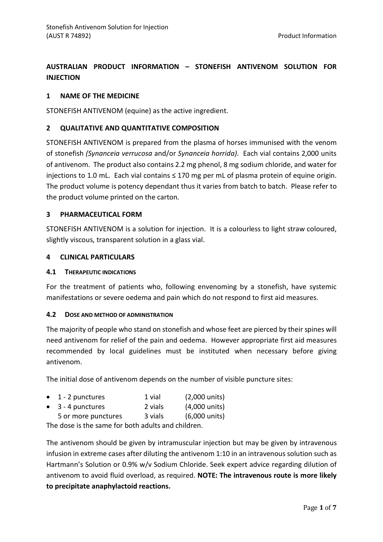# **AUSTRALIAN PRODUCT INFORMATION – STONEFISH ANTIVENOM SOLUTION FOR INJECTION**

# **1 NAME OF THE MEDICINE**

STONEFISH ANTIVENOM (equine) as the active ingredient.

# **2 QUALITATIVE AND QUANTITATIVE COMPOSITION**

STONEFISH ANTIVENOM is prepared from the plasma of horses immunised with the venom of stonefish *(Synanceia verrucosa* and/or *Synanceia horrida)*. Each vial contains 2,000 units of antivenom. The product also contains 2.2 mg phenol, 8 mg sodium chloride, and water for injections to 1.0 mL. Each vial contains ≤ 170 mg per mL of plasma protein of equine origin. The product volume is potency dependant thus it varies from batch to batch. Please refer to the product volume printed on the carton.

# **3 PHARMACEUTICAL FORM**

STONEFISH ANTIVENOM is a solution for injection. It is a colourless to light straw coloured, slightly viscous, transparent solution in a glass vial.

# **4 CLINICAL PARTICULARS**

# **4.1 THERAPEUTIC INDICATIONS**

For the treatment of patients who, following envenoming by a stonefish, have systemic manifestations or severe oedema and pain which do not respond to first aid measures.

# **4.2 DOSE AND METHOD OF ADMINISTRATION**

The majority of people who stand on stonefish and whose feet are pierced by their spines will need antivenom for relief of the pain and oedema. However appropriate first aid measures recommended by local guidelines must be instituted when necessary before giving antivenom.

The initial dose of antivenom depends on the number of visible puncture sites:

| $\bullet$ 1 - 2 punctures | 1 vial  | $(2,000 \text{ units})$ |
|---------------------------|---------|-------------------------|
| $\bullet$ 3 - 4 punctures | 2 vials | (4,000 units)           |
| 5 or more punctures       | 3 vials | (6,000 units)           |

The dose is the same for both adults and children.

The antivenom should be given by intramuscular injection but may be given by intravenous infusion in extreme cases after diluting the antivenom 1:10 in an intravenous solution such as Hartmann's Solution or 0.9% w/v Sodium Chloride. Seek expert advice regarding dilution of antivenom to avoid fluid overload, as required. **NOTE: The intravenous route is more likely to precipitate anaphylactoid reactions.**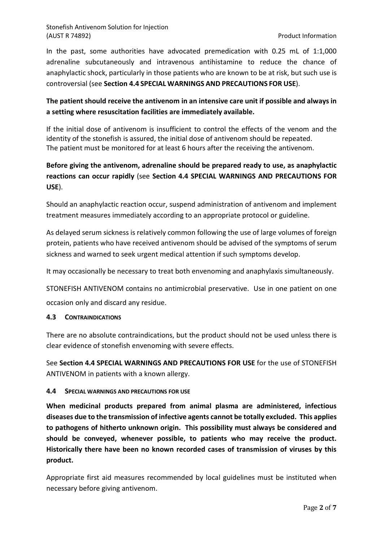In the past, some authorities have advocated premedication with 0.25 mL of 1:1,000 adrenaline subcutaneously and intravenous antihistamine to reduce the chance of anaphylactic shock, particularly in those patients who are known to be at risk, but such use is controversial (see **Section 4.4 SPECIAL WARNINGS AND PRECAUTIONS FOR USE**).

# **The patient should receive the antivenom in an intensive care unit if possible and always in a setting where resuscitation facilities are immediately available.**

If the initial dose of antivenom is insufficient to control the effects of the venom and the identity of the stonefish is assured, the initial dose of antivenom should be repeated. The patient must be monitored for at least 6 hours after the receiving the antivenom.

# **Before giving the antivenom, adrenaline should be prepared ready to use, as anaphylactic reactions can occur rapidly** (see **Section 4.4 SPECIAL WARNINGS AND PRECAUTIONS FOR USE**).

Should an anaphylactic reaction occur, suspend administration of antivenom and implement treatment measures immediately according to an appropriate protocol or guideline.

As delayed serum sickness is relatively common following the use of large volumes of foreign protein, patients who have received antivenom should be advised of the symptoms of serum sickness and warned to seek urgent medical attention if such symptoms develop.

It may occasionally be necessary to treat both envenoming and anaphylaxis simultaneously.

STONEFISH ANTIVENOM contains no antimicrobial preservative. Use in one patient on one occasion only and discard any residue.

# **4.3 CONTRAINDICATIONS**

There are no absolute contraindications, but the product should not be used unless there is clear evidence of stonefish envenoming with severe effects.

See **Section 4.4 SPECIAL WARNINGS AND PRECAUTIONS FOR USE** for the use of STONEFISH ANTIVENOM in patients with a known allergy.

# **4.4 SPECIAL WARNINGS AND PRECAUTIONS FOR USE**

**When medicinal products prepared from animal plasma are administered, infectious diseases due to the transmission of infective agents cannot be totally excluded. This applies to pathogens of hitherto unknown origin. This possibility must always be considered and should be conveyed, whenever possible, to patients who may receive the product. Historically there have been no known recorded cases of transmission of viruses by this product.**

Appropriate first aid measures recommended by local guidelines must be instituted when necessary before giving antivenom.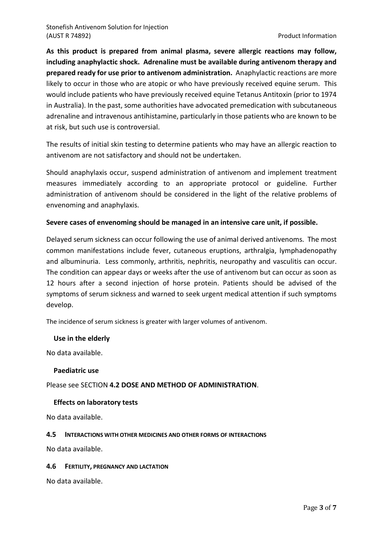**As this product is prepared from animal plasma, severe allergic reactions may follow, including anaphylactic shock. Adrenaline must be available during antivenom therapy and prepared ready for use prior to antivenom administration.** Anaphylactic reactions are more likely to occur in those who are atopic or who have previously received equine serum. This would include patients who have previously received equine Tetanus Antitoxin (prior to 1974 in Australia). In the past, some authorities have advocated premedication with subcutaneous adrenaline and intravenous antihistamine, particularly in those patients who are known to be at risk, but such use is controversial.

The results of initial skin testing to determine patients who may have an allergic reaction to antivenom are not satisfactory and should not be undertaken.

Should anaphylaxis occur, suspend administration of antivenom and implement treatment measures immediately according to an appropriate protocol or guideline. Further administration of antivenom should be considered in the light of the relative problems of envenoming and anaphylaxis.

# **Severe cases of envenoming should be managed in an intensive care unit, if possible.**

Delayed serum sickness can occur following the use of animal derived antivenoms. The most common manifestations include fever, cutaneous eruptions, arthralgia, lymphadenopathy and albuminuria. Less commonly, arthritis, nephritis, neuropathy and vasculitis can occur. The condition can appear days or weeks after the use of antivenom but can occur as soon as 12 hours after a second injection of horse protein. Patients should be advised of the symptoms of serum sickness and warned to seek urgent medical attention if such symptoms develop.

The incidence of serum sickness is greater with larger volumes of antivenom.

# **Use in the elderly**

No data available.

#### **Paediatric use**

Please see SECTION **4.2 DOSE AND METHOD OF ADMINISTRATION**.

# **Effects on laboratory tests**

No data available.

#### **4.5 INTERACTIONS WITH OTHER MEDICINES AND OTHER FORMS OF INTERACTIONS**

No data available.

#### **4.6 FERTILITY, PREGNANCY AND LACTATION**

No data available.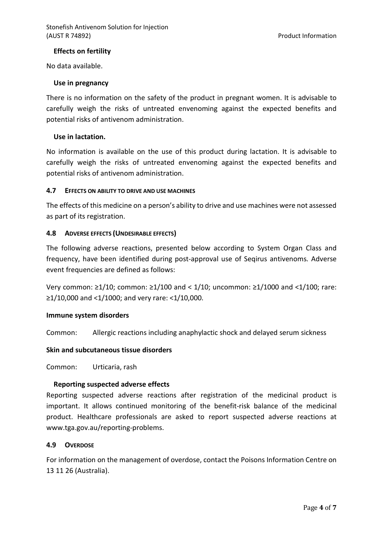# **Effects on fertility**

No data available.

#### **Use in pregnancy**

There is no information on the safety of the product in pregnant women. It is advisable to carefully weigh the risks of untreated envenoming against the expected benefits and potential risks of antivenom administration.

## **Use in lactation.**

No information is available on the use of this product during lactation. It is advisable to carefully weigh the risks of untreated envenoming against the expected benefits and potential risks of antivenom administration.

## **4.7 EFFECTS ON ABILITY TO DRIVE AND USE MACHINES**

The effects of this medicine on a person's ability to drive and use machines were not assessed as part of its registration.

## **4.8 ADVERSE EFFECTS (UNDESIRABLE EFFECTS)**

The following adverse reactions, presented below according to System Organ Class and frequency, have been identified during post-approval use of Seqirus antivenoms. Adverse event frequencies are defined as follows:

Very common:  $\geq$ 1/10; common:  $\geq$ 1/100 and < 1/10; uncommon:  $\geq$ 1/1000 and <1/100; rare:  $≥1/10,000$  and <1/1000; and very rare: <1/10,000.

#### **Immune system disorders**

Common: Allergic reactions including anaphylactic shock and delayed serum sickness

#### **Skin and subcutaneous tissue disorders**

Common: Urticaria, rash

# **Reporting suspected adverse effects**

Reporting suspected adverse reactions after registration of the medicinal product is important. It allows continued monitoring of the benefit-risk balance of the medicinal product. Healthcare professionals are asked to report suspected adverse reactions at www.tga.gov.au/reporting-problems.

#### **4.9 OVERDOSE**

For information on the management of overdose, contact the Poisons Information Centre on 13 11 26 (Australia).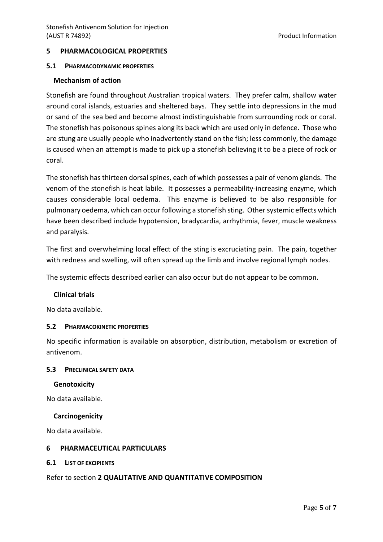## **5 PHARMACOLOGICAL PROPERTIES**

#### **5.1 PHARMACODYNAMIC PROPERTIES**

#### **Mechanism of action**

Stonefish are found throughout Australian tropical waters. They prefer calm, shallow water around coral islands, estuaries and sheltered bays. They settle into depressions in the mud or sand of the sea bed and become almost indistinguishable from surrounding rock or coral. The stonefish has poisonous spines along its back which are used only in defence. Those who are stung are usually people who inadvertently stand on the fish; less commonly, the damage is caused when an attempt is made to pick up a stonefish believing it to be a piece of rock or coral.

The stonefish has thirteen dorsal spines, each of which possesses a pair of venom glands. The venom of the stonefish is heat labile. It possesses a permeability-increasing enzyme, which causes considerable local oedema. This enzyme is believed to be also responsible for pulmonary oedema, which can occur following a stonefish sting. Other systemic effects which have been described include hypotension, bradycardia, arrhythmia, fever, muscle weakness and paralysis.

The first and overwhelming local effect of the sting is excruciating pain. The pain, together with redness and swelling, will often spread up the limb and involve regional lymph nodes.

The systemic effects described earlier can also occur but do not appear to be common.

#### **Clinical trials**

No data available.

#### **5.2 PHARMACOKINETIC PROPERTIES**

No specific information is available on absorption, distribution, metabolism or excretion of antivenom.

#### **5.3 PRECLINICAL SAFETY DATA**

#### **Genotoxicity**

No data available.

#### **Carcinogenicity**

No data available.

#### **6 PHARMACEUTICAL PARTICULARS**

**6.1 LIST OF EXCIPIENTS** 

#### Refer to section **2 QUALITATIVE AND QUANTITATIVE COMPOSITION**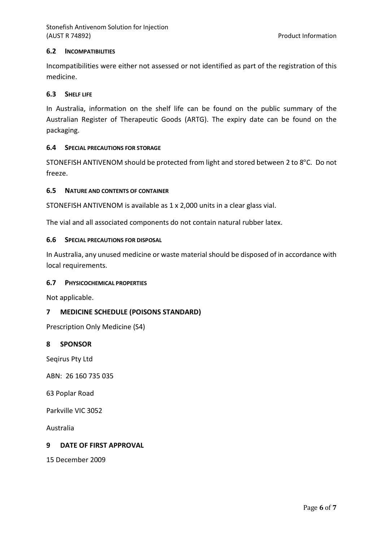## **6.2 INCOMPATIBILITIES**

Incompatibilities were either not assessed or not identified as part of the registration of this medicine.

#### **6.3 SHELF LIFE**

In Australia, information on the shelf life can be found on the public summary of the Australian Register of Therapeutic Goods (ARTG). The expiry date can be found on the packaging.

## **6.4 SPECIAL PRECAUTIONS FOR STORAGE**

STONEFISH ANTIVENOM should be protected from light and stored between 2 to 8°C. Do not freeze.

## **6.5 NATURE AND CONTENTS OF CONTAINER**

STONEFISH ANTIVENOM is available as 1 x 2,000 units in a clear glass vial.

The vial and all associated components do not contain natural rubber latex.

## **6.6 SPECIAL PRECAUTIONS FOR DISPOSAL**

In Australia, any unused medicine or waste material should be disposed of in accordance with local requirements.

#### **6.7 PHYSICOCHEMICAL PROPERTIES**

Not applicable.

# **7 MEDICINE SCHEDULE (POISONS STANDARD)**

Prescription Only Medicine (S4)

#### **8 SPONSOR**

Seqirus Pty Ltd

ABN: 26 160 735 035

63 Poplar Road

Parkville VIC 3052

Australia

# **9 DATE OF FIRST APPROVAL**

15 December 2009